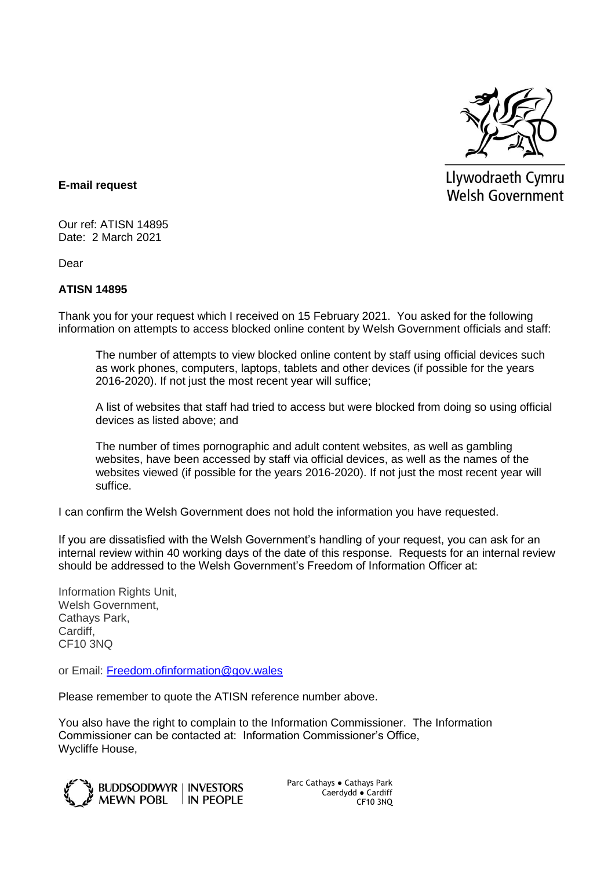

Llywodraeth Cymru **Welsh Government** 

## **E-mail request**

Our ref: ATISN 14895 Date: 2 March 2021

Dear

## **ATISN 14895**

Thank you for your request which I received on 15 February 2021. You asked for the following information on attempts to access blocked online content by Welsh Government officials and staff:

The number of attempts to view blocked online content by staff using official devices such as work phones, computers, laptops, tablets and other devices (if possible for the years 2016-2020). If not just the most recent year will suffice;

A list of websites that staff had tried to access but were blocked from doing so using official devices as listed above; and

The number of times pornographic and adult content websites, as well as gambling websites, have been accessed by staff via official devices, as well as the names of the websites viewed (if possible for the years 2016-2020). If not just the most recent year will suffice.

I can confirm the Welsh Government does not hold the information you have requested.

If you are dissatisfied with the Welsh Government's handling of your request, you can ask for an internal review within 40 working days of the date of this response. Requests for an internal review should be addressed to the Welsh Government's Freedom of Information Officer at:

Information Rights Unit, Welsh Government, Cathays Park, Cardiff, CF10 3NQ

or Email: [Freedom.ofinformation@gov.wales](mailto:Freedom.ofinformation@gov.wales)

Please remember to quote the ATISN reference number above.

You also have the right to complain to the Information Commissioner. The Information Commissioner can be contacted at: Information Commissioner's Office, Wycliffe House,



Parc Cathays ● Cathays Park Caerdydd ● Cardiff CF10 3NQ